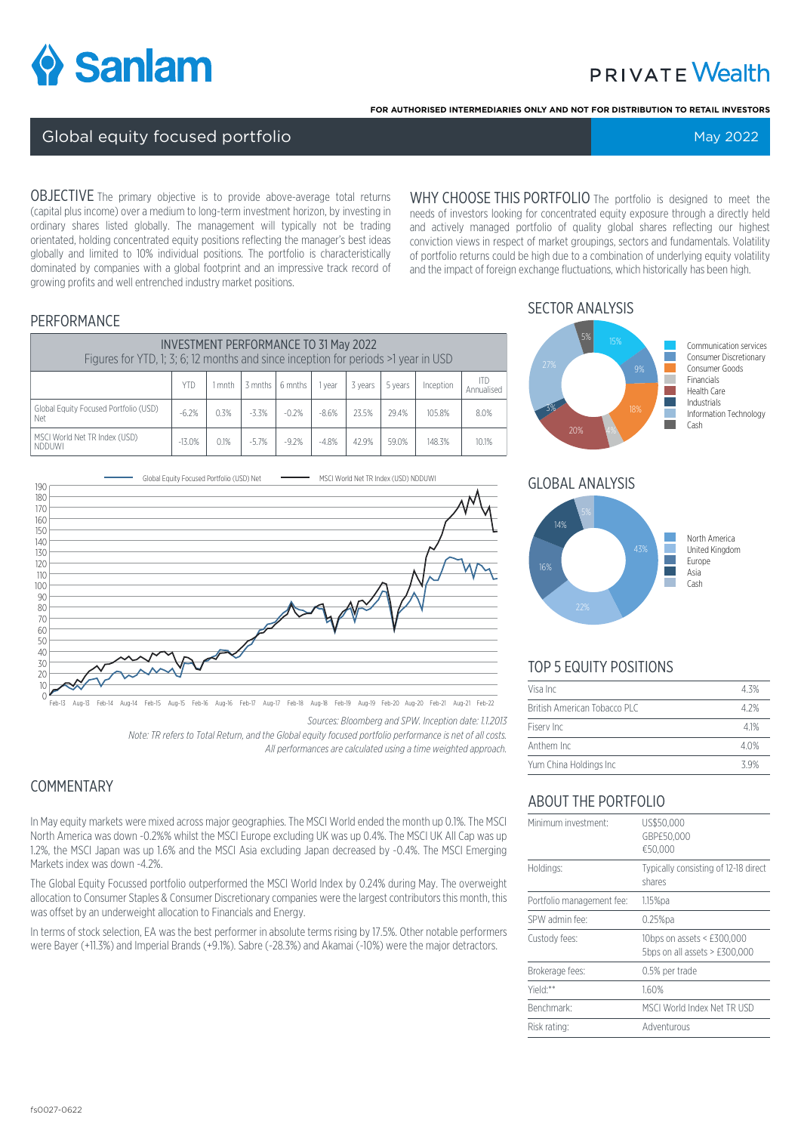

# **PRIVATE Wealth**

**FOR AUTHORISED INTERMEDIARIES ONLY AND NOT FOR DISTRIBUTION TO RETAIL INVESTORS**

#### Global equity focused portfolio May 2022 South American Control of Technical May 2022

OBJECTIVE The primary objective is to provide above-average total returns (capital plus income) over a medium to long-term investment horizon, by investing in ordinary shares listed globally. The management will typically not be trading orientated, holding concentrated equity positions reflecting the manager's best ideas globally and limited to 10% individual positions. The portfolio is characteristically dominated by companies with a global footprint and an impressive track record of growing profits and well entrenched industry market positions.

WHY CHOOSE THIS PORTFOLIO The portfolio is designed to meet the needs of investors looking for concentrated equity exposure through a directly held and actively managed portfolio of quality global shares reflecting our highest conviction views in respect of market groupings, sectors and fundamentals. Volatility of portfolio returns could be high due to a combination of underlying equity volatility and the impact of foreign exchange fluctuations, which historically has been high.

#### PERFORMANCE

| <b>INVESTMENT PERFORMANCE TO 31 May 2022</b><br>Figures for YTD, 1; 3; 6; 12 months and since inception for periods >1 year in USD |          |      |         |                      |         |         |         |           |                          |
|------------------------------------------------------------------------------------------------------------------------------------|----------|------|---------|----------------------|---------|---------|---------|-----------|--------------------------|
|                                                                                                                                    | YTD      | mnth |         | $3$ mnths $16$ mnths | I vear  | 3 years | 5 years | Inception | <b>ITD</b><br>Annualised |
| Global Equity Focused Portfolio (USD)<br>Net                                                                                       | $-6.2%$  | 0.3% | $-3.3%$ | $-0.2%$              | $-8.6%$ | 23.5%   | 29.4%   | 105.8%    | 8.0%                     |
| MSCI World Net TR Index (USD)<br>NDDUWI                                                                                            | $-13.0%$ | 0.1% | $-5.7%$ | $-9.2%$              | $-4.8%$ | 42.9%   | 59.0%   | 148.3%    | 10.1%                    |



Feb-13 Aug-13 Feb-14 Aug-14 Feb-15 Aug-15 Feb-16 Aug-16 Feb-17 Aug-17 Feb-18 Aug-18 Feb-19 Aug-19 Feb-20 Aug-20 Feb-21 Aug-21 Feb-22

*Sources: Bloomberg and SPW. Inception date: 1.1.2013*

*Note: TR refers to Total Return, and the Global equity focused portfolio performance is net of all costs. All performances are calculated using a time weighted approach.*

### **COMMENTARY**

In May equity markets were mixed across major geographies. The MSCI World ended the month up 0.1%. The MSCI North America was down -0.2%% whilst the MSCI Europe excluding UK was up 0.4%. The MSCI UK All Cap was up 1.2%, the MSCI Japan was up 1.6% and the MSCI Asia excluding Japan decreased by -0.4%. The MSCI Emerging Markets index was down -4.2%.

The Global Equity Focussed portfolio outperformed the MSCI World Index by 0.24% during May. The overweight allocation to Consumer Staples & Consumer Discretionary companies were the largest contributors this month, this was offset by an underweight allocation to Financials and Energy.

In terms of stock selection, EA was the best performer in absolute terms rising by 17.5%. Other notable performers were Bayer (+11.3%) and Imperial Brands (+9.1%). Sabre (-28.3%) and Akamai (-10%) were the major detractors.

## SECTOR ANALYSIS



#### GLOBAL ANALYSIS



### TOP 5 EQUITY POSITIONS

| Visa Inc                     | 4.3% |
|------------------------------|------|
| British American Tobacco PLC | 4 2% |
| Fisery Inc                   | 41%  |
| Anthem Inc                   | 4.0% |
| Yum China Holdings Inc       | 39%  |

### ABOUT THE PORTFOLIO

| Minimum investment:       | US\$50,000<br>GBP£50.000<br>€50,000                           |
|---------------------------|---------------------------------------------------------------|
| Holdings:                 | Typically consisting of 12-18 direct<br>shares                |
| Portfolio management fee: | $1.15\%$ pa                                                   |
| SPW admin fee:            | $0.25%$ pa                                                    |
| Custody fees:             | 10bps on assets < £300,000<br>5bps on all assets $>$ £300,000 |
| Brokerage fees:           | 0.5% per trade                                                |
| Yield:**                  | 1.60%                                                         |
| Benchmark:                | MSCI World Index Net TR USD                                   |
| Risk rating:              | Adventurous                                                   |